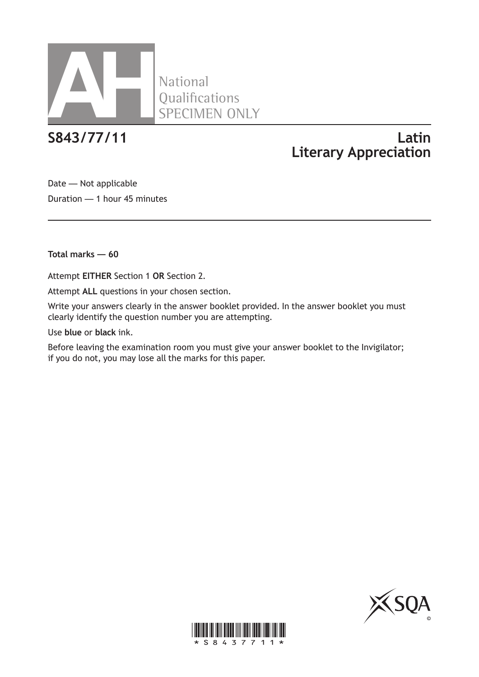

# **S843/77/11 Latin Literary Appreciation**

Date — Not applicable Duration — 1 hour 45 minutes

**Total marks — 60**

Attempt **EITHER** Section 1 **OR** Section 2.

Attempt **ALL** questions in your chosen section.

Write your answers clearly in the answer booklet provided. In the answer booklet you must clearly identify the question number you are attempting.

Use **blue** or **black** ink.

Before leaving the examination room you must give your answer booklet to the Invigilator; if you do not, you may lose all the marks for this paper.



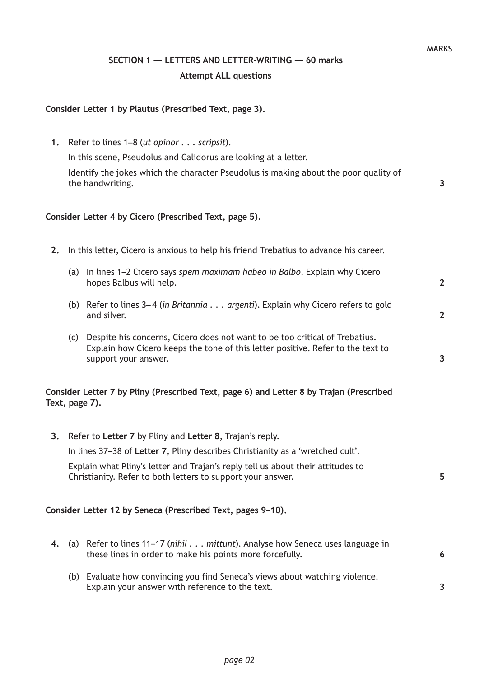## **SECTION 1 — LETTERS AND LETTER-WRITING — 60 marks Attempt ALL questions**

#### **Consider Letter 1 by Plautus (Prescribed Text, page 3).**

**1.** Refer to lines 1–8 (*ut opinor . . . scripsit*).

In this scene, Pseudolus and Calidorus are looking at a letter.

Identify the jokes which the character Pseudolus is making about the poor quality of the handwriting.

#### **Consider Letter 4 by Cicero (Prescribed Text, page 5).**

- **2.** In this letter, Cicero is anxious to help his friend Trebatius to advance his career.
	- (a) In lines 1–2 Cicero says *spem maximam habeo in Balbo*. Explain why Cicero hopes Balbus will help.
	- (b) Refer to lines 3– 4 (*in Britannia . . . argenti*). Explain why Cicero refers to gold and silver.
	- (c) Despite his concerns, Cicero does not want to be too critical of Trebatius. Explain how Cicero keeps the tone of this letter positive. Refer to the text to support your answer.

#### **Consider Letter 7 by Pliny (Prescribed Text, page 6) and Letter 8 by Trajan (Prescribed Text, page 7).**

|    | 3. Refer to Letter 7 by Pliny and Letter 8, Trajan's reply.                                                                                        |    |
|----|----------------------------------------------------------------------------------------------------------------------------------------------------|----|
|    | In lines 37–38 of Letter 7, Pliny describes Christianity as a 'wretched cult'.                                                                     |    |
|    | Explain what Pliny's letter and Trajan's reply tell us about their attitudes to<br>Christianity. Refer to both letters to support your answer.     | 5. |
|    | Consider Letter 12 by Seneca (Prescribed Text, pages 9–10).                                                                                        |    |
| 4. | (a) Refer to lines 11–17 ( <i>nihil mittunt</i> ). Analyse how Seneca uses language in<br>these lines in order to make his points more forcefully. | 6  |
|    | (b) Evaluate how convincing you find Seneca's views about watching violence                                                                        |    |

(b) Evaluate how convincing you find Seneca's views about watching violence. Explain your answer with reference to the text.

**MARKS**

**3**

**2**

**2**

**3**

**3**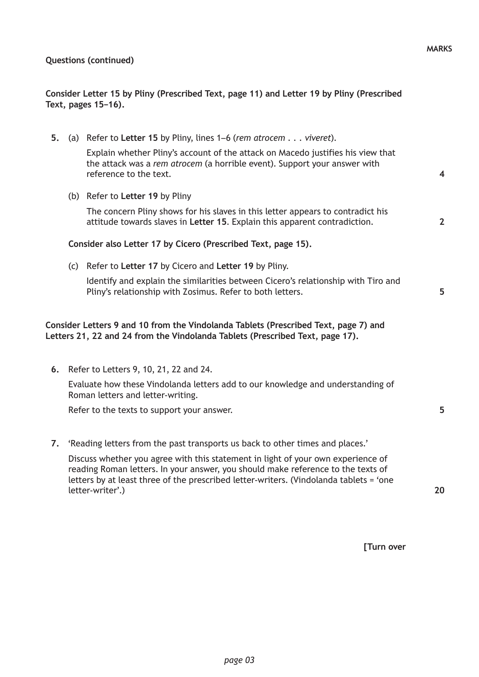|    |     | Consider Letter 15 by Pliny (Prescribed Text, page 11) and Letter 19 by Pliny (Prescribed<br>Text, pages 15-16).                                                                                                                                                                   |                |
|----|-----|------------------------------------------------------------------------------------------------------------------------------------------------------------------------------------------------------------------------------------------------------------------------------------|----------------|
| 5. |     | (a) Refer to Letter 15 by Pliny, lines 1–6 (rem atrocem viveret).                                                                                                                                                                                                                  |                |
|    |     | Explain whether Pliny's account of the attack on Macedo justifies his view that<br>the attack was a rem atrocem (a horrible event). Support your answer with<br>reference to the text.                                                                                             | 4              |
|    |     | (b) Refer to Letter 19 by Pliny                                                                                                                                                                                                                                                    |                |
|    |     | The concern Pliny shows for his slaves in this letter appears to contradict his<br>attitude towards slaves in Letter 15. Explain this apparent contradiction.                                                                                                                      | $\overline{2}$ |
|    |     | Consider also Letter 17 by Cicero (Prescribed Text, page 15).                                                                                                                                                                                                                      |                |
|    | (c) | Refer to Letter 17 by Cicero and Letter 19 by Pliny.                                                                                                                                                                                                                               |                |
|    |     | Identify and explain the similarities between Cicero's relationship with Tiro and<br>Pliny's relationship with Zosimus. Refer to both letters.                                                                                                                                     | 5              |
|    |     | Consider Letters 9 and 10 from the Vindolanda Tablets (Prescribed Text, page 7) and<br>Letters 21, 22 and 24 from the Vindolanda Tablets (Prescribed Text, page 17).                                                                                                               |                |
| 6. |     | Refer to Letters 9, 10, 21, 22 and 24.                                                                                                                                                                                                                                             |                |
|    |     | Evaluate how these Vindolanda letters add to our knowledge and understanding of<br>Roman letters and letter-writing.                                                                                                                                                               |                |
|    |     | Refer to the texts to support your answer.                                                                                                                                                                                                                                         | 5              |
| 7. |     | 'Reading letters from the past transports us back to other times and places.'                                                                                                                                                                                                      |                |
|    |     | Discuss whether you agree with this statement in light of your own experience of<br>reading Roman letters. In your answer, you should make reference to the texts of<br>letters by at least three of the prescribed letter-writers. (Vindolanda tablets = 'one<br>letter-writer'.) | 20             |
|    |     | [Turn over                                                                                                                                                                                                                                                                         |                |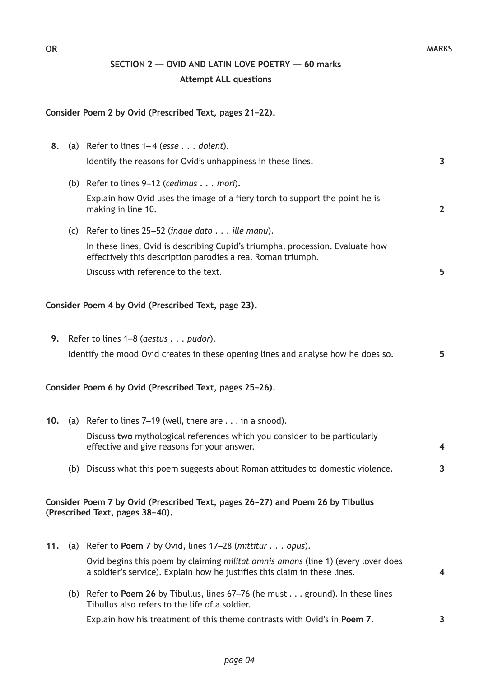**5**

**3**

**3**

### **SECTION 2 — OVID AND LATIN LOVE POETRY — 60 marks Attempt ALL questions**

#### **Consider Poem 2 by Ovid (Prescribed Text, pages 21–22).**

**8.** (a) Refer to lines 1– 4 (*esse . . . dolent*). Identify the reasons for Ovid's unhappiness in these lines. (b) Refer to lines 9–12 (*cedimus . . . mori*). Explain how Ovid uses the image of a fiery torch to support the point he is making in line 10. (c) Refer to lines 25–52 (*inque dato . . . ille manu*). In these lines, Ovid is describing Cupid's triumphal procession. Evaluate how effectively this description parodies a real Roman triumph. Discuss with reference to the text. **3 2 5**

#### **Consider Poem 4 by Ovid (Prescribed Text, page 23).**

**9.** Refer to lines 1–8 (*aestus . . . pudor*). Identify the mood Ovid creates in these opening lines and analyse how he does so.

#### **Consider Poem 6 by Ovid (Prescribed Text, pages 25–26).**

- **10.** (a) Refer to lines 7–19 (well, there are . . . in a snood). Discuss **two** mythological references which you consider to be particularly effective and give reasons for your answer. **4**
	- (b) Discuss what this poem suggests about Roman attitudes to domestic violence.

#### **Consider Poem 7 by Ovid (Prescribed Text, pages 26–27) and Poem 26 by Tibullus (Prescribed Text, pages 38–40).**

- **11.** (a) Refer to **Poem 7** by Ovid, lines 17–28 (*mittitur . . . opus*). Ovid begins this poem by claiming *militat omnis amans* (line 1) (every lover does a soldier's service). Explain how he justifies this claim in these lines. **4**
	- (b) Refer to **Poem 26** by Tibullus, lines 67–76 (he must . . . ground). In these lines Tibullus also refers to the life of a soldier.

Explain how his treatment of this theme contrasts with Ovid's in **Poem 7**.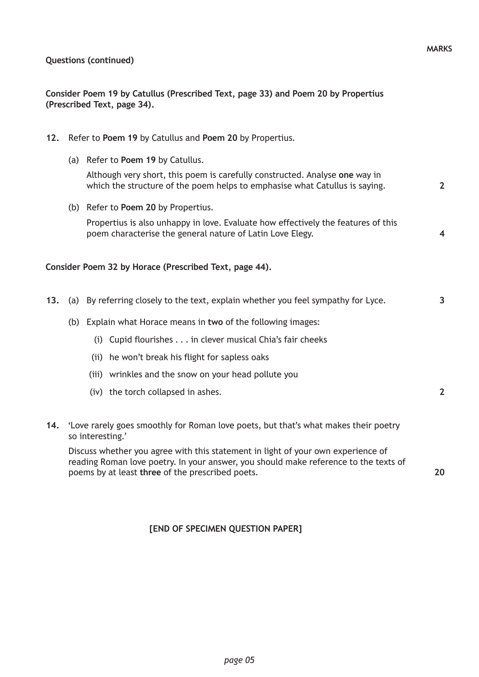**Consider Poem 19 by Catullus (Prescribed Text, page 33) and Poem 20 by Propertius (Prescribed Text, page 34).**

- **12.** Refer to **Poem 19** by Catullus and **Poem 20** by Propertius.
	- (a) Refer to **Poem 19** by Catullus.

Although very short, this poem is carefully constructed. Analyse **one** way in which the structure of the poem helps to emphasise what Catullus is saying.

(b) Refer to **Poem 20** by Propertius.

Propertius is also unhappy in love. Evaluate how effectively the features of this poem characterise the general nature of Latin Love Elegy.

### **Consider Poem 32 by Horace (Prescribed Text, page 44).**

- **13.** (a) By referring closely to the text, explain whether you feel sympathy for Lyce.
	- (b) Explain what Horace means in **two** of the following images:
		- (i) Cupid flourishes . . . in clever musical Chia's fair cheeks
		- (ii) he won't break his flight for sapless oaks
		- (iii) wrinkles and the snow on your head pollute you
		- (iv) the torch collapsed in ashes.
- **14.** 'Love rarely goes smoothly for Roman love poets, but that's what makes their poetry so interesting.'

Discuss whether you agree with this statement in light of your own experience of reading Roman love poetry. In your answer, you should make reference to the texts of poems by at least **three** of the prescribed poets.

**20**

### **[END OF SPECIMEN QUESTION PAPER]**

**2**

**4**

**3**

**2**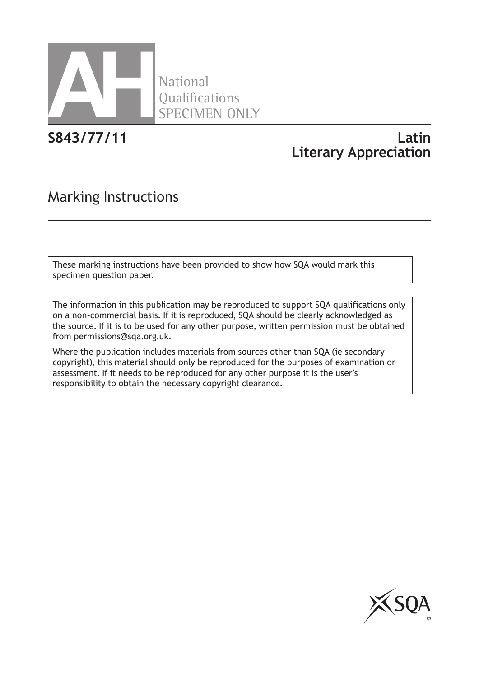

National **Oualifications** SPECIMEN ONLY

# **S843/77/11 Latin Literary Appreciation**

# Marking Instructions

These marking instructions have been provided to show how SQA would mark this specimen question paper.

The information in this publication may be reproduced to support SQA qualifications only on a non-commercial basis. If it is reproduced, SQA should be clearly acknowledged as the source. If it is to be used for any other purpose, written permission must be obtained from permissions@sqa.org.uk.

Where the publication includes materials from sources other than SQA (ie secondary copyright), this material should only be reproduced for the purposes of examination or assessment. If it needs to be reproduced for any other purpose it is the user's responsibility to obtain the necessary copyright clearance.

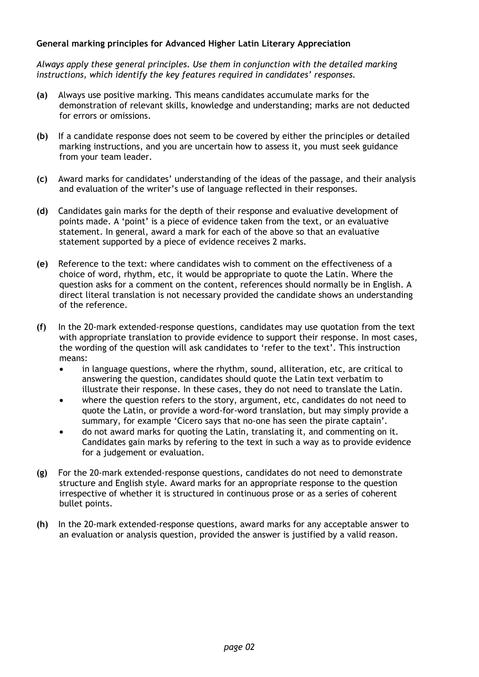#### **General marking principles for Advanced Higher Latin Literary Appreciation**

*Always apply these general principles. Use them in conjunction with the detailed marking instructions, which identify the key features required in candidates' responses.*

- **(a)** Always use positive marking. This means candidates accumulate marks for the demonstration of relevant skills, knowledge and understanding; marks are not deducted for errors or omissions.
- **(b)** If a candidate response does not seem to be covered by either the principles or detailed marking instructions, and you are uncertain how to assess it, you must seek guidance from your team leader.
- **(c)** Award marks for candidates' understanding of the ideas of the passage, and their analysis and evaluation of the writer's use of language reflected in their responses.
- **(d)** Candidates gain marks for the depth of their response and evaluative development of points made. A 'point' is a piece of evidence taken from the text, or an evaluative statement. In general, award a mark for each of the above so that an evaluative statement supported by a piece of evidence receives 2 marks.
- **(e)** Reference to the text: where candidates wish to comment on the effectiveness of a choice of word, rhythm, etc, it would be appropriate to quote the Latin. Where the question asks for a comment on the content, references should normally be in English. A direct literal translation is not necessary provided the candidate shows an understanding of the reference.
- **(f)** In the 20-mark extended-response questions, candidates may use quotation from the text with appropriate translation to provide evidence to support their response. In most cases, the wording of the question will ask candidates to 'refer to the text'. This instruction means:
	- in language questions, where the rhythm, sound, alliteration, etc, are critical to answering the question, candidates should quote the Latin text verbatim to illustrate their response. In these cases, they do not need to translate the Latin.
	- where the question refers to the story, argument, etc, candidates do not need to quote the Latin, or provide a word-for-word translation, but may simply provide a summary, for example 'Cicero says that no-one has seen the pirate captain'.
	- do not award marks for quoting the Latin, translating it, and commenting on it. Candidates gain marks by refering to the text in such a way as to provide evidence for a judgement or evaluation.
- **(g)** For the 20-mark extended-response questions, candidates do not need to demonstrate structure and English style. Award marks for an appropriate response to the question irrespective of whether it is structured in continuous prose or as a series of coherent bullet points.
- **(h)** In the 20-mark extended-response questions, award marks for any acceptable answer to an evaluation or analysis question, provided the answer is justified by a valid reason.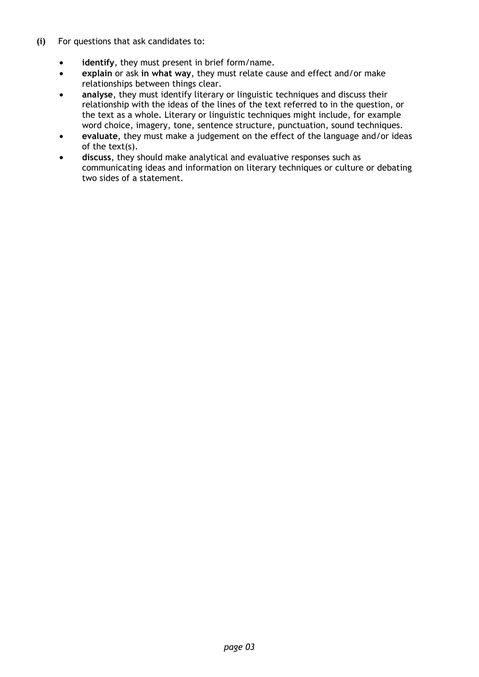- **(i)** For questions that ask candidates to:
	- **identify**, they must present in brief form/name.
	- **explain** or ask **in what way**, they must relate cause and effect and/or make relationships between things clear.
	- **analyse**, they must identify literary or linguistic techniques and discuss their relationship with the ideas of the lines of the text referred to in the question, or the text as a whole. Literary or linguistic techniques might include, for example word choice, imagery, tone, sentence structure, punctuation, sound techniques.
	- **evaluate**, they must make a judgement on the effect of the language and/or ideas of the text(s).
	- **discuss**, they should make analytical and evaluative responses such as communicating ideas and information on literary techniques or culture or debating two sides of a statement.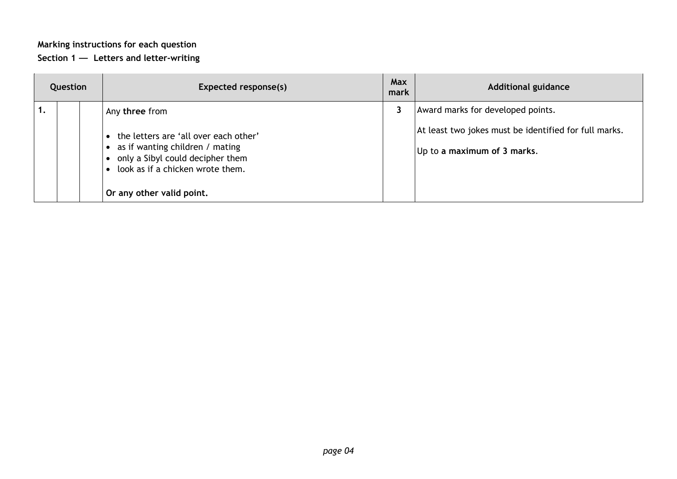## **Marking instructions for each question**

#### **Section 1 — Letters and letter-writing**

| Question |  | Expected response(s)                                                                                                                                                                            | <b>Max</b><br>mark | <b>Additional guidance</b>                                                                                                |
|----------|--|-------------------------------------------------------------------------------------------------------------------------------------------------------------------------------------------------|--------------------|---------------------------------------------------------------------------------------------------------------------------|
|          |  | Any three from<br>the letters are 'all over each other'<br>as if wanting children / mating<br>only a Sibyl could decipher them<br>look as if a chicken wrote them.<br>Or any other valid point. |                    | Award marks for developed points.<br>At least two jokes must be identified for full marks.<br>Up to a maximum of 3 marks. |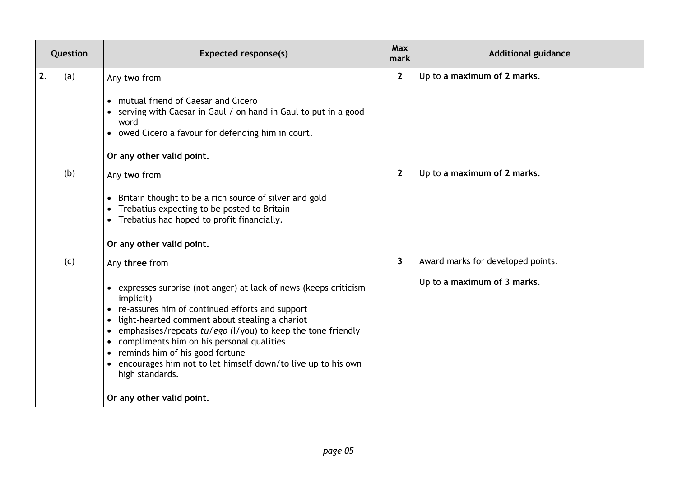| Question |     | <b>Expected response(s)</b>                                                                                                                                                                                                                                                                                                                                                                                                                                                           | Max<br>mark             | <b>Additional guidance</b>                                       |
|----------|-----|---------------------------------------------------------------------------------------------------------------------------------------------------------------------------------------------------------------------------------------------------------------------------------------------------------------------------------------------------------------------------------------------------------------------------------------------------------------------------------------|-------------------------|------------------------------------------------------------------|
| 2.       | (a) | Any two from<br>• mutual friend of Caesar and Cicero<br>serving with Caesar in Gaul / on hand in Gaul to put in a good<br>word<br>• owed Cicero a favour for defending him in court.<br>Or any other valid point.                                                                                                                                                                                                                                                                     | $\overline{2}$          | Up to a maximum of 2 marks.                                      |
|          | (b) | Any two from<br>Britain thought to be a rich source of silver and gold<br>Trebatius expecting to be posted to Britain<br>Trebatius had hoped to profit financially.<br>$\bullet$<br>Or any other valid point.                                                                                                                                                                                                                                                                         | $\overline{2}$          | Up to a maximum of 2 marks.                                      |
|          | (c) | Any three from<br>expresses surprise (not anger) at lack of news (keeps criticism<br>$\bullet$<br>implicit)<br>• re-assures him of continued efforts and support<br>light-hearted comment about stealing a chariot<br>emphasises/repeats tu/ego (I/you) to keep the tone friendly<br>compliments him on his personal qualities<br>• reminds him of his good fortune<br>• encourages him not to let himself down/to live up to his own<br>high standards.<br>Or any other valid point. | $\overline{\mathbf{3}}$ | Award marks for developed points.<br>Up to a maximum of 3 marks. |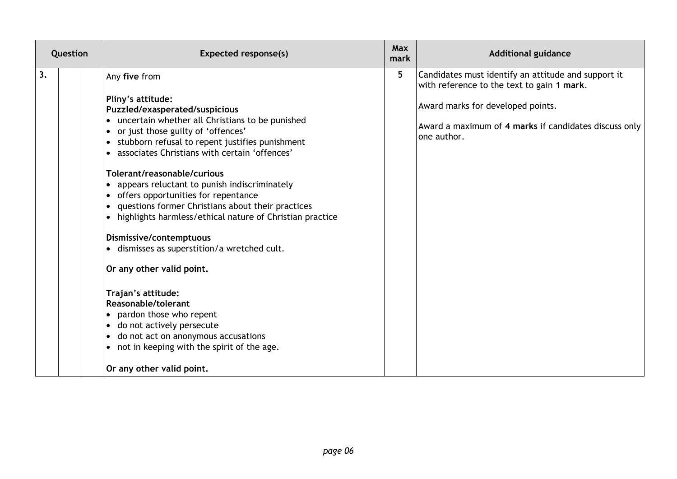| Question | Expected response(s)                                                                                                                                                                                                                                                                                                                                                                                                                                                                                                                                                                                                                                                                                                                                                                                        | <b>Max</b><br>mark | <b>Additional guidance</b>                                                                                |
|----------|-------------------------------------------------------------------------------------------------------------------------------------------------------------------------------------------------------------------------------------------------------------------------------------------------------------------------------------------------------------------------------------------------------------------------------------------------------------------------------------------------------------------------------------------------------------------------------------------------------------------------------------------------------------------------------------------------------------------------------------------------------------------------------------------------------------|--------------------|-----------------------------------------------------------------------------------------------------------|
| 3.       | Any five from                                                                                                                                                                                                                                                                                                                                                                                                                                                                                                                                                                                                                                                                                                                                                                                               | $5\phantom{.0}$    | Candidates must identify an attitude and support it<br>with reference to the text to gain 1 mark.         |
|          | Pliny's attitude:<br>Puzzled/exasperated/suspicious<br>• uncertain whether all Christians to be punished<br>• or just those guilty of 'offences'<br>• stubborn refusal to repent justifies punishment<br>• associates Christians with certain 'offences'<br>Tolerant/reasonable/curious<br>appears reluctant to punish indiscriminately<br>• offers opportunities for repentance<br>questions former Christians about their practices<br>highlights harmless/ethical nature of Christian practice<br>Dismissive/contemptuous<br>· dismisses as superstition/a wretched cult.<br>Or any other valid point.<br>Trajan's attitude:<br>Reasonable/tolerant<br>• pardon those who repent<br>· do not actively persecute<br>• do not act on anonymous accusations<br>• not in keeping with the spirit of the age. |                    | Award marks for developed points.<br>Award a maximum of 4 marks if candidates discuss only<br>one author. |
|          | Or any other valid point.                                                                                                                                                                                                                                                                                                                                                                                                                                                                                                                                                                                                                                                                                                                                                                                   |                    |                                                                                                           |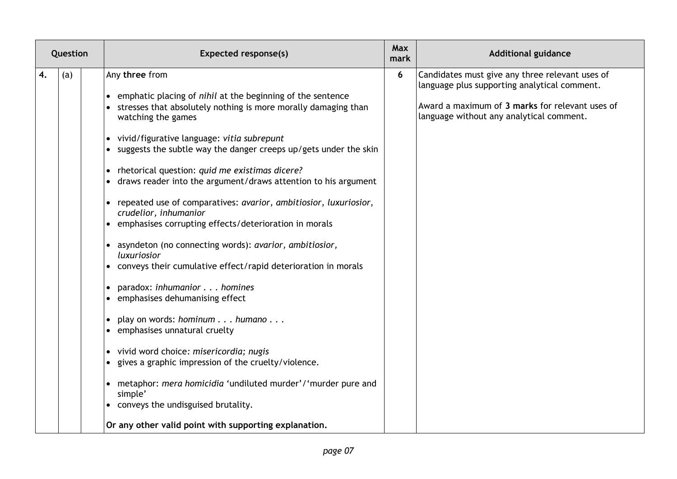| Question  | <b>Expected response(s)</b>                                                                                                                                                                                                                                                                                                                                                                                                                                                                                                                                                                                                                                                                                                                                                                                                                                                                                                                                                                                                                                                                                                                          | Max<br>mark | <b>Additional guidance</b>                                                                                                                                                                     |
|-----------|------------------------------------------------------------------------------------------------------------------------------------------------------------------------------------------------------------------------------------------------------------------------------------------------------------------------------------------------------------------------------------------------------------------------------------------------------------------------------------------------------------------------------------------------------------------------------------------------------------------------------------------------------------------------------------------------------------------------------------------------------------------------------------------------------------------------------------------------------------------------------------------------------------------------------------------------------------------------------------------------------------------------------------------------------------------------------------------------------------------------------------------------------|-------------|------------------------------------------------------------------------------------------------------------------------------------------------------------------------------------------------|
| 4.<br>(a) | Any three from<br>• emphatic placing of nihil at the beginning of the sentence<br>• stresses that absolutely nothing is more morally damaging than<br>watching the games<br>• vivid/figurative language: vitia subrepunt<br>suggests the subtle way the danger creeps up/gets under the skin<br>• rhetorical question: quid me existimas dicere?<br>draws reader into the argument/draws attention to his argument<br>• repeated use of comparatives: avarior, ambitiosior, luxuriosior,<br>crudelior, inhumanior<br>emphasises corrupting effects/deterioration in morals<br>asyndeton (no connecting words): avarior, ambitiosior,<br>luxuriosior<br>• conveys their cumulative effect/rapid deterioration in morals<br>paradox: inhumanior homines<br>emphasises dehumanising effect<br>play on words: hominum humano<br>emphasises unnatural cruelty<br>· vivid word choice: misericordia; nugis<br>gives a graphic impression of the cruelty/violence.<br>metaphor: mera homicidia 'undiluted murder'/'murder pure and<br>$\bullet$<br>simple'<br>• conveys the undisguised brutality.<br>Or any other valid point with supporting explanation. | 6           | Candidates must give any three relevant uses of<br>language plus supporting analytical comment.<br>Award a maximum of 3 marks for relevant uses of<br>language without any analytical comment. |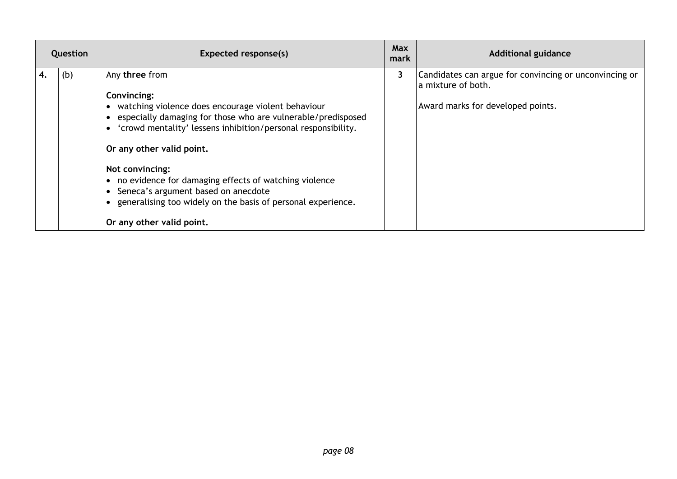| Question |     | Expected response(s)                                                                                                                                                                                                                                                                                                                                                                                                                                                        | <b>Max</b><br>mark | <b>Additional guidance</b>                                                                                        |
|----------|-----|-----------------------------------------------------------------------------------------------------------------------------------------------------------------------------------------------------------------------------------------------------------------------------------------------------------------------------------------------------------------------------------------------------------------------------------------------------------------------------|--------------------|-------------------------------------------------------------------------------------------------------------------|
| 4.       | (b) | Any three from<br>Convincing:<br>• watching violence does encourage violent behaviour<br>especially damaging for those who are vulnerable/predisposed<br>• 'crowd mentality' lessens inhibition/personal responsibility.<br>Or any other valid point.<br>Not convincing:<br>• no evidence for damaging effects of watching violence<br>• Seneca's argument based on anecdote<br>• generalising too widely on the basis of personal experience.<br>Or any other valid point. | 3                  | Candidates can argue for convincing or unconvincing or<br>a mixture of both.<br>Award marks for developed points. |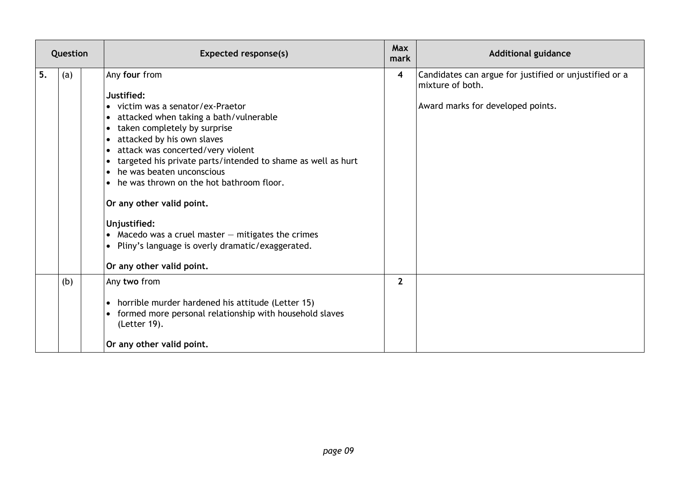|    | Question | Expected response(s)                                                                                                                                                                                                                                                                                                                                                                                                                                                                                                                                 | <b>Max</b><br>mark | <b>Additional guidance</b>                                                                                      |
|----|----------|------------------------------------------------------------------------------------------------------------------------------------------------------------------------------------------------------------------------------------------------------------------------------------------------------------------------------------------------------------------------------------------------------------------------------------------------------------------------------------------------------------------------------------------------------|--------------------|-----------------------------------------------------------------------------------------------------------------|
| 5. | (a)      | Any four from<br>Justified:<br>• victim was a senator/ex-Praetor<br>• attacked when taking a bath/vulnerable<br>taken completely by surprise<br>attacked by his own slaves<br>attack was concerted/very violent<br>targeted his private parts/intended to shame as well as hurt<br>• he was beaten unconscious<br>• he was thrown on the hot bathroom floor.<br>Or any other valid point.<br>Unjustified:<br>• Macedo was a cruel master $-$ mitigates the crimes<br>• Pliny's language is overly dramatic/exaggerated.<br>Or any other valid point. | 4                  | Candidates can argue for justified or unjustified or a<br>mixture of both.<br>Award marks for developed points. |
|    | (b)      | Any two from<br>horrible murder hardened his attitude (Letter 15)<br>• formed more personal relationship with household slaves<br>(Letter 19).<br>Or any other valid point.                                                                                                                                                                                                                                                                                                                                                                          | $\overline{2}$     |                                                                                                                 |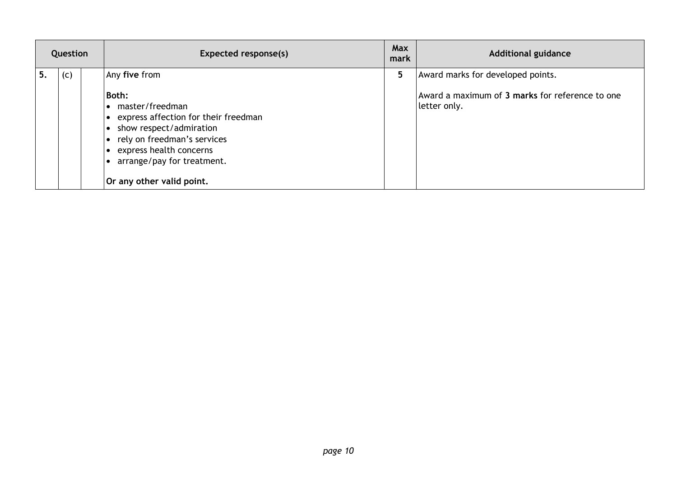| Question | Expected response(s)                                                                                                                                                                                                                  | Max<br>mark | <b>Additional guidance</b>                                                                           |
|----------|---------------------------------------------------------------------------------------------------------------------------------------------------------------------------------------------------------------------------------------|-------------|------------------------------------------------------------------------------------------------------|
| (c)      | Any five from<br>Both:<br>master/freedman<br>express affection for their freedman<br>• show respect/admiration<br>• rely on freedman's services<br>express health concerns<br>arrange/pay for treatment.<br>Or any other valid point. |             | Award marks for developed points.<br>Award a maximum of 3 marks for reference to one<br>letter only. |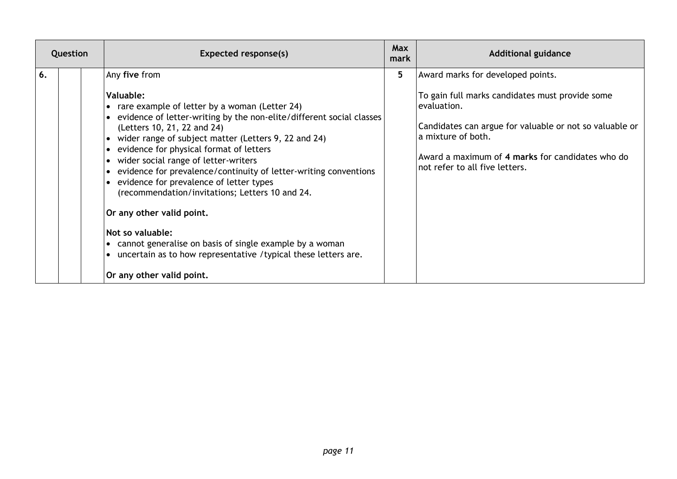| Question | Expected response(s)                                                                                                                                                                                                                                                                                                                                                                                                                                                                                                                                                                                                                                                                                                                 | <b>Max</b><br>mark | <b>Additional guidance</b>                                                                                                                                                                                                                                                  |
|----------|--------------------------------------------------------------------------------------------------------------------------------------------------------------------------------------------------------------------------------------------------------------------------------------------------------------------------------------------------------------------------------------------------------------------------------------------------------------------------------------------------------------------------------------------------------------------------------------------------------------------------------------------------------------------------------------------------------------------------------------|--------------------|-----------------------------------------------------------------------------------------------------------------------------------------------------------------------------------------------------------------------------------------------------------------------------|
| 6.       | Any five from<br><b>Valuable:</b><br>• rare example of letter by a woman (Letter 24)<br>• evidence of letter-writing by the non-elite/different social classes<br>(Letters 10, 21, 22 and 24)<br>• wider range of subject matter (Letters 9, 22 and 24)<br>• evidence for physical format of letters<br>• wider social range of letter-writers<br>• evidence for prevalence/continuity of letter-writing conventions<br>• evidence for prevalence of letter types<br>(recommendation/invitations; Letters 10 and 24.<br>Or any other valid point.<br>Not so valuable:<br>• cannot generalise on basis of single example by a woman<br>• uncertain as to how representative / typical these letters are.<br>Or any other valid point. | 5                  | Award marks for developed points.<br>To gain full marks candidates must provide some<br>evaluation.<br>Candidates can argue for valuable or not so valuable or<br>la mixture of both.<br>Award a maximum of 4 marks for candidates who do<br>not refer to all five letters. |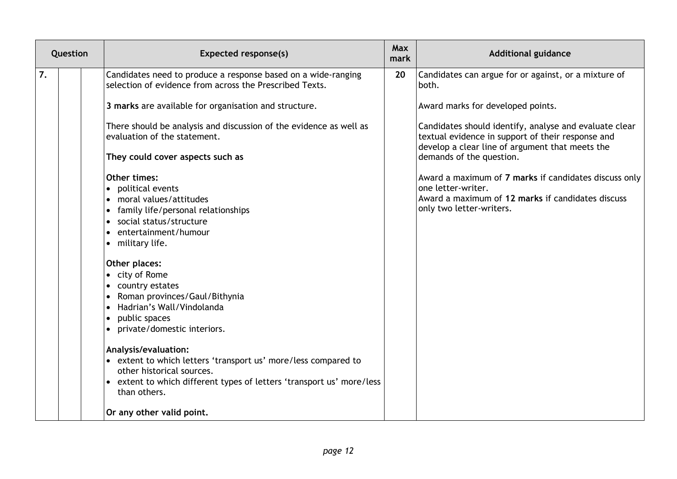| Question | <b>Expected response(s)</b>                                                                                                                                                                                                                                                                                             | <b>Max</b><br>mark | <b>Additional guidance</b>                                                                                                                                     |
|----------|-------------------------------------------------------------------------------------------------------------------------------------------------------------------------------------------------------------------------------------------------------------------------------------------------------------------------|--------------------|----------------------------------------------------------------------------------------------------------------------------------------------------------------|
| 7.       | Candidates need to produce a response based on a wide-ranging<br>selection of evidence from across the Prescribed Texts.                                                                                                                                                                                                | 20                 | Candidates can argue for or against, or a mixture of<br>both.                                                                                                  |
|          | 3 marks are available for organisation and structure.                                                                                                                                                                                                                                                                   |                    | Award marks for developed points.                                                                                                                              |
|          | There should be analysis and discussion of the evidence as well as<br>evaluation of the statement.                                                                                                                                                                                                                      |                    | Candidates should identify, analyse and evaluate clear<br>textual evidence in support of their response and<br>develop a clear line of argument that meets the |
|          | They could cover aspects such as                                                                                                                                                                                                                                                                                        |                    | demands of the question.                                                                                                                                       |
|          | <b>Other times:</b><br>• political events<br>moral values/attitudes<br>family life/personal relationships<br>social status/structure<br>• entertainment/humour<br>• military life.<br>Other places:<br>• city of Rome<br>country estates<br>Roman provinces/Gaul/Bithynia<br>Hadrian's Wall/Vindolanda<br>public spaces |                    | Award a maximum of 7 marks if candidates discuss only<br>one letter-writer.<br>Award a maximum of 12 marks if candidates discuss<br>only two letter-writers.   |
|          | • private/domestic interiors.                                                                                                                                                                                                                                                                                           |                    |                                                                                                                                                                |
|          | Analysis/evaluation:<br>• extent to which letters 'transport us' more/less compared to<br>other historical sources.<br>• extent to which different types of letters 'transport us' more/less<br>than others.                                                                                                            |                    |                                                                                                                                                                |
|          | Or any other valid point.                                                                                                                                                                                                                                                                                               |                    |                                                                                                                                                                |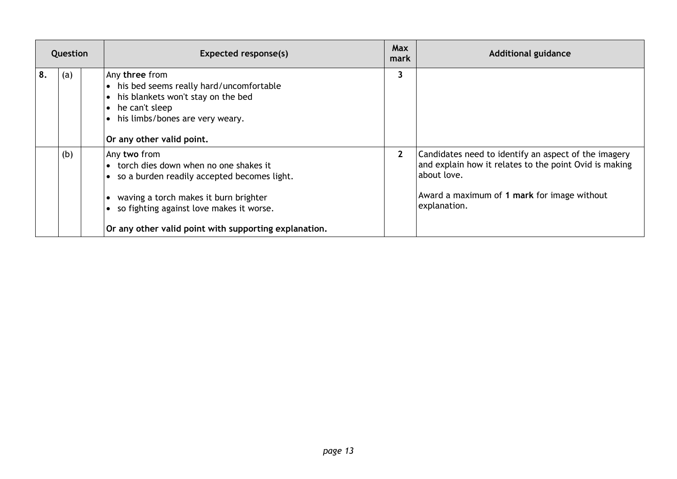|    | Question | Expected response(s)                                                                                                                                                                                                                                       | <b>Max</b><br>mark | <b>Additional guidance</b>                                                                                                                                                                   |
|----|----------|------------------------------------------------------------------------------------------------------------------------------------------------------------------------------------------------------------------------------------------------------------|--------------------|----------------------------------------------------------------------------------------------------------------------------------------------------------------------------------------------|
| 8. | (a)      | Any three from<br>• his bed seems really hard/uncomfortable<br>• his blankets won't stay on the bed<br>$\bullet$ he can't sleep<br>• his limbs/bones are very weary.<br>Or any other valid point.                                                          | 3                  |                                                                                                                                                                                              |
|    | (b)      | Any two from<br>• torch dies down when no one shakes it<br>• so a burden readily accepted becomes light.<br>• waving a torch makes it burn brighter<br>• so fighting against love makes it worse.<br>Or any other valid point with supporting explanation. | $2^{\circ}$        | Candidates need to identify an aspect of the imagery<br>and explain how it relates to the point Ovid is making<br>about love.<br>Award a maximum of 1 mark for image without<br>explanation. |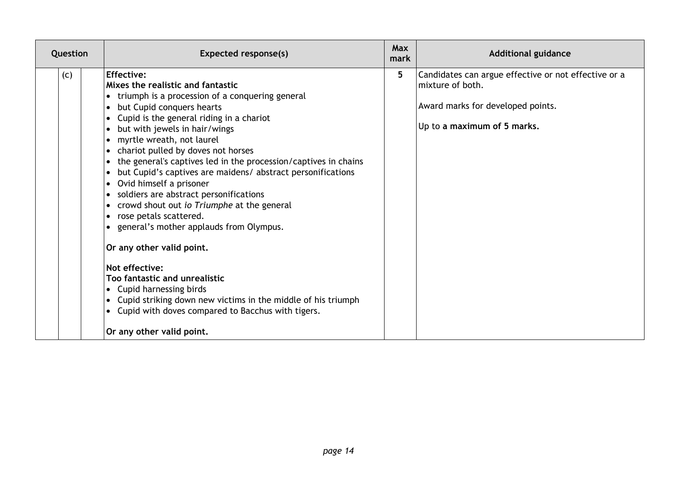| Question | <b>Expected response(s)</b>                                                                                                                                                                                                                                                                                                                                                                                                                                                                                                                                                                                                                                                                                                                                                                                                                                                                           | <b>Max</b><br>mark | <b>Additional guidance</b>                                                                                                                   |
|----------|-------------------------------------------------------------------------------------------------------------------------------------------------------------------------------------------------------------------------------------------------------------------------------------------------------------------------------------------------------------------------------------------------------------------------------------------------------------------------------------------------------------------------------------------------------------------------------------------------------------------------------------------------------------------------------------------------------------------------------------------------------------------------------------------------------------------------------------------------------------------------------------------------------|--------------------|----------------------------------------------------------------------------------------------------------------------------------------------|
| (c)      | Effective:<br>Mixes the realistic and fantastic<br>• triumph is a procession of a conquering general<br>• but Cupid conquers hearts<br>• Cupid is the general riding in a chariot<br>• but with jewels in hair/wings<br>• myrtle wreath, not laurel<br>• chariot pulled by doves not horses<br>• the general's captives led in the procession/captives in chains<br>• but Cupid's captives are maidens/ abstract personifications<br>• Ovid himself a prisoner<br>• soldiers are abstract personifications<br>• crowd shout out io Triumphe at the general<br>• rose petals scattered.<br>• general's mother applauds from Olympus.<br>Or any other valid point.<br>Not effective:<br>Too fantastic and unrealistic<br>• Cupid harnessing birds<br>• Cupid striking down new victims in the middle of his triumph<br>• Cupid with doves compared to Bacchus with tigers.<br>Or any other valid point. | 5 <sup>5</sup>     | Candidates can argue effective or not effective or a<br>mixture of both.<br>Award marks for developed points.<br>Up to a maximum of 5 marks. |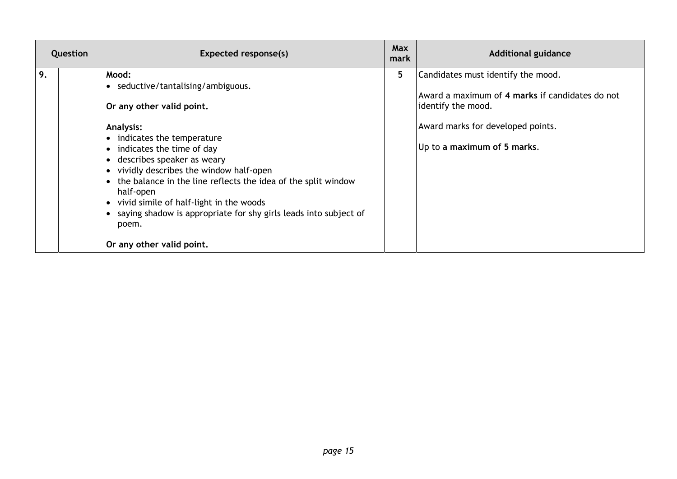| Question | Expected response(s)                                                                                                                                                                                                                                                                                                                                                                                                                                                                       | Max<br>mark | <b>Additional guidance</b>                                                                                                                                                      |
|----------|--------------------------------------------------------------------------------------------------------------------------------------------------------------------------------------------------------------------------------------------------------------------------------------------------------------------------------------------------------------------------------------------------------------------------------------------------------------------------------------------|-------------|---------------------------------------------------------------------------------------------------------------------------------------------------------------------------------|
| 9.       | Mood:<br>• seductive/tantalising/ambiguous.<br>Or any other valid point.<br><b>Analysis:</b><br>• indicates the temperature<br>• indicates the time of day<br>• describes speaker as weary<br>• vividly describes the window half-open<br>• the balance in the line reflects the idea of the split window<br>half-open<br>vivid simile of half-light in the woods<br>$\bullet$<br>• saying shadow is appropriate for shy girls leads into subject of<br>poem.<br>Or any other valid point. | 5.          | Candidates must identify the mood.<br>Award a maximum of 4 marks if candidates do not<br>identify the mood.<br>Award marks for developed points.<br>Up to a maximum of 5 marks. |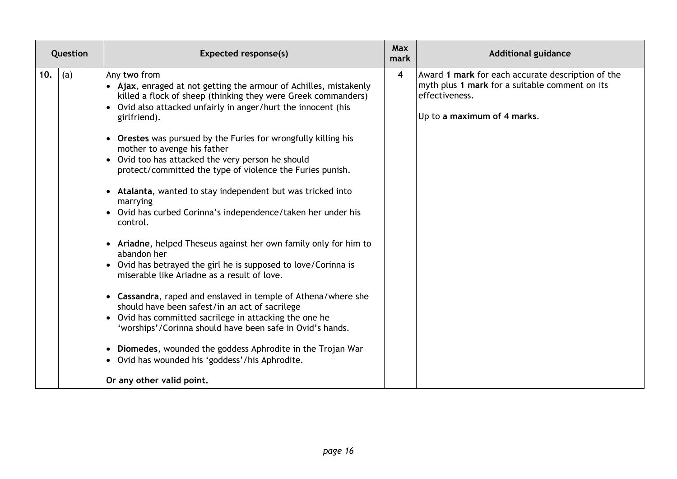| Question   | <b>Expected response(s)</b>                                                                                                                                                                                                                                                                                                                                                                                                                                                                                                                                                                                                                                                                                                                                                                                                                                                                                                                                                                                                                                                                                                                                                                                                        | <b>Max</b><br>mark      | <b>Additional guidance</b>                                                                                                                           |
|------------|------------------------------------------------------------------------------------------------------------------------------------------------------------------------------------------------------------------------------------------------------------------------------------------------------------------------------------------------------------------------------------------------------------------------------------------------------------------------------------------------------------------------------------------------------------------------------------------------------------------------------------------------------------------------------------------------------------------------------------------------------------------------------------------------------------------------------------------------------------------------------------------------------------------------------------------------------------------------------------------------------------------------------------------------------------------------------------------------------------------------------------------------------------------------------------------------------------------------------------|-------------------------|------------------------------------------------------------------------------------------------------------------------------------------------------|
| 10.<br>(a) | Any two from<br>• Ajax, enraged at not getting the armour of Achilles, mistakenly<br>killed a flock of sheep (thinking they were Greek commanders)<br>• Ovid also attacked unfairly in anger/hurt the innocent (his<br>girlfriend).<br>• Orestes was pursued by the Furies for wrongfully killing his<br>mother to avenge his father<br>$\bullet$ Ovid too has attacked the very person he should<br>protect/committed the type of violence the Furies punish.<br>• Atalanta, wanted to stay independent but was tricked into<br>marrying<br>$\bullet$ Ovid has curbed Corinna's independence/taken her under his<br>control.<br>• Ariadne, helped Theseus against her own family only for him to<br>abandon her<br>$\bullet$ Ovid has betrayed the girl he is supposed to love/Corinna is<br>miserable like Ariadne as a result of love.<br>• Cassandra, raped and enslaved in temple of Athena/where she<br>should have been safest/in an act of sacrilege<br>• Ovid has committed sacrilege in attacking the one he<br>'worships'/Corinna should have been safe in Ovid's hands.<br>• Diomedes, wounded the goddess Aphrodite in the Trojan War<br>• Ovid has wounded his 'goddess'/his Aphrodite.<br>Or any other valid point. | $\overline{\mathbf{4}}$ | Award 1 mark for each accurate description of the<br>myth plus 1 mark for a suitable comment on its<br>effectiveness.<br>Up to a maximum of 4 marks. |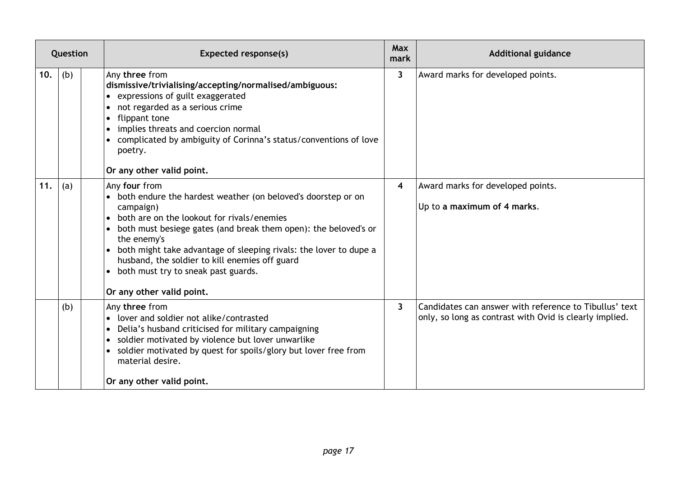| Question |     | <b>Expected response(s)</b>                                                                                                                                                                                                                                                                                                                                                                                                 | <b>Max</b><br>mark | <b>Additional guidance</b>                                                                                        |
|----------|-----|-----------------------------------------------------------------------------------------------------------------------------------------------------------------------------------------------------------------------------------------------------------------------------------------------------------------------------------------------------------------------------------------------------------------------------|--------------------|-------------------------------------------------------------------------------------------------------------------|
| 10.      | (b) | Any three from<br>dismissive/trivialising/accepting/normalised/ambiguous:<br>• expressions of guilt exaggerated<br>• not regarded as a serious crime<br>• flippant tone<br>implies threats and coercion normal<br>• complicated by ambiguity of Corinna's status/conventions of love<br>poetry.<br>Or any other valid point.                                                                                                | 3                  | Award marks for developed points.                                                                                 |
| 11.      | (a) | Any four from<br>• both endure the hardest weather (on beloved's doorstep or on<br>campaign)<br>both are on the lookout for rivals/enemies<br>both must besiege gates (and break them open): the beloved's or<br>the enemy's<br>• both might take advantage of sleeping rivals: the lover to dupe a<br>husband, the soldier to kill enemies off guard<br>• both must try to sneak past guards.<br>Or any other valid point. | 4                  | Award marks for developed points.<br>Up to a maximum of 4 marks.                                                  |
|          | (b) | Any three from<br>• lover and soldier not alike/contrasted<br>• Delia's husband criticised for military campaigning<br>• soldier motivated by violence but lover unwarlike<br>• soldier motivated by quest for spoils/glory but lover free from<br>material desire.<br>Or any other valid point.                                                                                                                            | 3                  | Candidates can answer with reference to Tibullus' text<br>only, so long as contrast with Ovid is clearly implied. |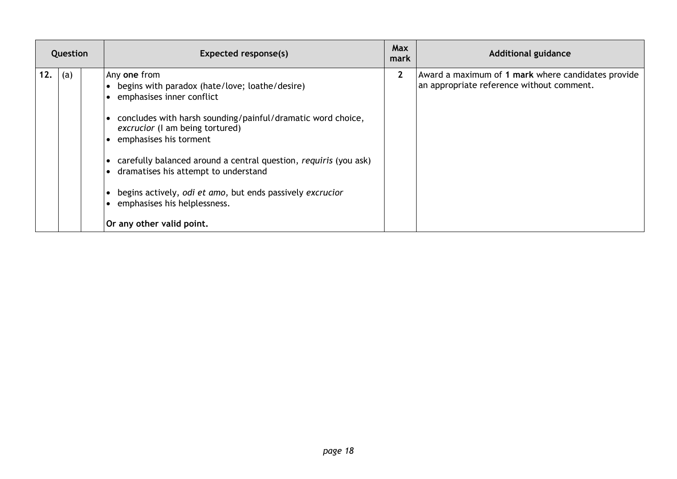| Question |     | Expected response(s)                                                                                                                                                                                                                                                                                                                                                                                                                                                        | Max<br>mark  | <b>Additional guidance</b>                                                                      |
|----------|-----|-----------------------------------------------------------------------------------------------------------------------------------------------------------------------------------------------------------------------------------------------------------------------------------------------------------------------------------------------------------------------------------------------------------------------------------------------------------------------------|--------------|-------------------------------------------------------------------------------------------------|
| 12.      | (a) | Any one from<br>• begins with paradox (hate/love; loathe/desire)<br>• emphasises inner conflict<br>• concludes with harsh sounding/painful/dramatic word choice,<br>excrucior (I am being tortured)<br>• emphasises his torment<br>• carefully balanced around a central question, requiris (you ask)<br>• dramatises his attempt to understand<br>begins actively, odi et amo, but ends passively excrucior<br>• emphasises his helplessness.<br>Or any other valid point. | $\mathbf{2}$ | Award a maximum of 1 mark where candidates provide<br>an appropriate reference without comment. |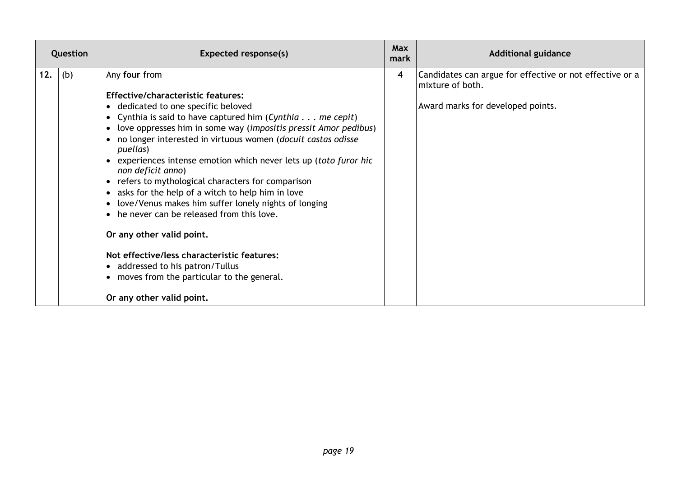| Question |     | <b>Expected response(s)</b>                                                                                                                                                                                                                                                                                                                                                                                                                                                                                                                                                                                                                                                                                                                                                                                              | <b>Max</b><br>mark | <b>Additional guidance</b>                                                                                        |
|----------|-----|--------------------------------------------------------------------------------------------------------------------------------------------------------------------------------------------------------------------------------------------------------------------------------------------------------------------------------------------------------------------------------------------------------------------------------------------------------------------------------------------------------------------------------------------------------------------------------------------------------------------------------------------------------------------------------------------------------------------------------------------------------------------------------------------------------------------------|--------------------|-------------------------------------------------------------------------------------------------------------------|
| 12.      | (b) | Any four from<br><b>Effective/characteristic features:</b><br>• dedicated to one specific beloved<br>Cynthia is said to have captured him (Cynthia $\ldots$ me cepit)<br>love oppresses him in some way (impositis pressit Amor pedibus)<br>no longer interested in virtuous women (docuit castas odisse<br>puellas)<br>experiences intense emotion which never lets up (toto furor hic<br>non deficit anno)<br>• refers to mythological characters for comparison<br>asks for the help of a witch to help him in love<br>love/Venus makes him suffer lonely nights of longing<br>• he never can be released from this love.<br>Or any other valid point.<br>Not effective/less characteristic features:<br>• addressed to his patron/Tullus<br>• moves from the particular to the general.<br>Or any other valid point. | 4                  | Candidates can argue for effective or not effective or a<br>mixture of both.<br>Award marks for developed points. |
|          |     |                                                                                                                                                                                                                                                                                                                                                                                                                                                                                                                                                                                                                                                                                                                                                                                                                          |                    |                                                                                                                   |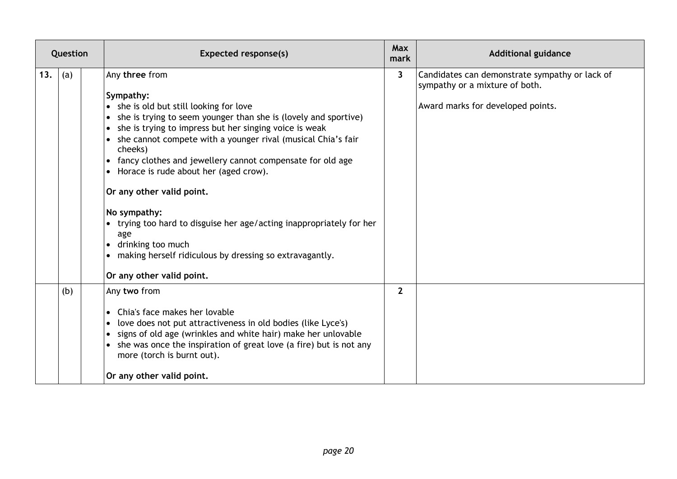| Question |     | <b>Expected response(s)</b>                                                                                                                                                                                                                                                                                                                                                                                                                                                                                                                                                                  | <b>Max</b><br>mark | <b>Additional guidance</b>                                                       |
|----------|-----|----------------------------------------------------------------------------------------------------------------------------------------------------------------------------------------------------------------------------------------------------------------------------------------------------------------------------------------------------------------------------------------------------------------------------------------------------------------------------------------------------------------------------------------------------------------------------------------------|--------------------|----------------------------------------------------------------------------------|
| 13.      | (a) | Any three from                                                                                                                                                                                                                                                                                                                                                                                                                                                                                                                                                                               | 3                  | Candidates can demonstrate sympathy or lack of<br>sympathy or a mixture of both. |
|          |     | Sympathy:<br>• she is old but still looking for love<br>• she is trying to seem younger than she is (lovely and sportive)<br>• she is trying to impress but her singing voice is weak<br>• she cannot compete with a younger rival (musical Chia's fair<br>cheeks)<br>• fancy clothes and jewellery cannot compensate for old age<br>• Horace is rude about her (aged crow).<br>Or any other valid point.<br>No sympathy:<br>• trying too hard to disguise her age/acting inappropriately for her<br>age<br>• drinking too much<br>• making herself ridiculous by dressing so extravagantly. |                    | Award marks for developed points.                                                |
|          |     | Or any other valid point.                                                                                                                                                                                                                                                                                                                                                                                                                                                                                                                                                                    |                    |                                                                                  |
|          | (b) | Any two from<br>Chia's face makes her lovable<br>love does not put attractiveness in old bodies (like Lyce's)<br>• signs of old age (wrinkles and white hair) make her unlovable<br>• she was once the inspiration of great love (a fire) but is not any<br>more (torch is burnt out).<br>Or any other valid point.                                                                                                                                                                                                                                                                          | $\overline{2}$     |                                                                                  |